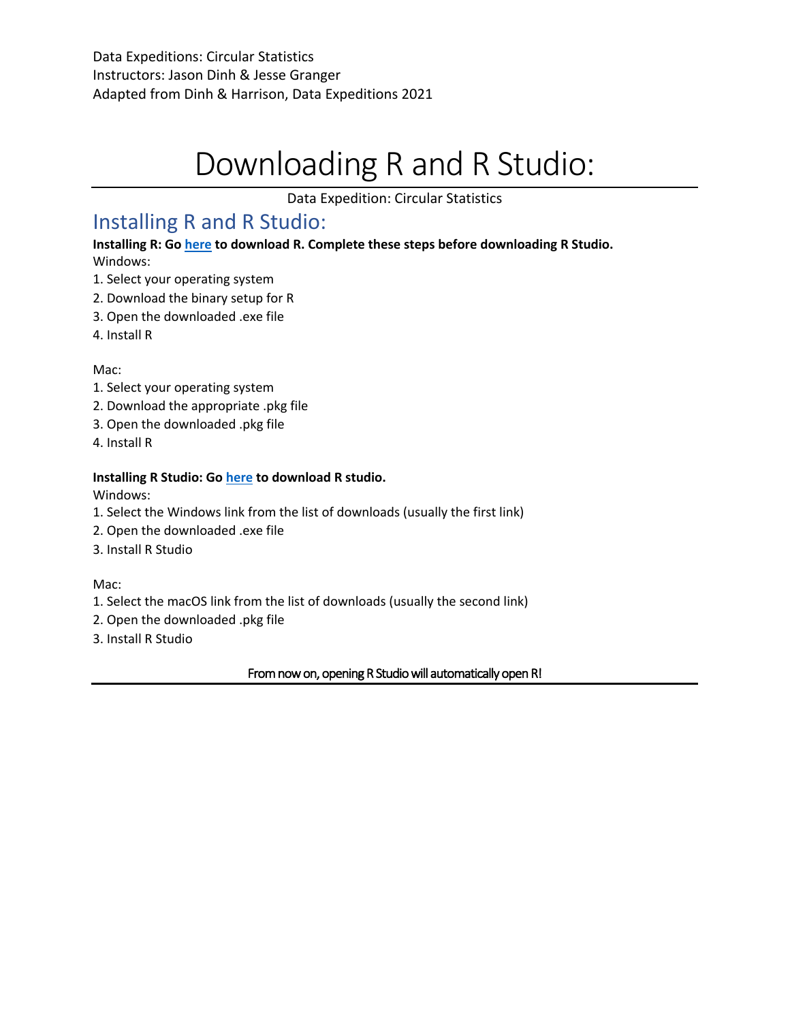# Downloading R and R Studio:

Data Expedition: Circular Statistics

## Installing R and R Studio:

**Installing R: Go here to download R. Complete these steps before downloading R Studio.**  Windows:

- 1. Select your operating system
- 2. Download the binary setup for R
- 3. Open the downloaded .exe file
- 4. Install R

Mac:

- 1. Select your operating system
- 2. Download the appropriate .pkg file
- 3. Open the downloaded .pkg file
- 4. Install R

#### **Installing R Studio: Go here to download R studio.**

Windows:

- 1. Select the Windows link from the list of downloads (usually the first link)
- 2. Open the downloaded .exe file
- 3. Install R Studio

Mac:

- 1. Select the macOS link from the list of downloads (usually the second link)
- 2. Open the downloaded .pkg file
- 3. Install R Studio

#### From now on, opening R Studio will automatically open R!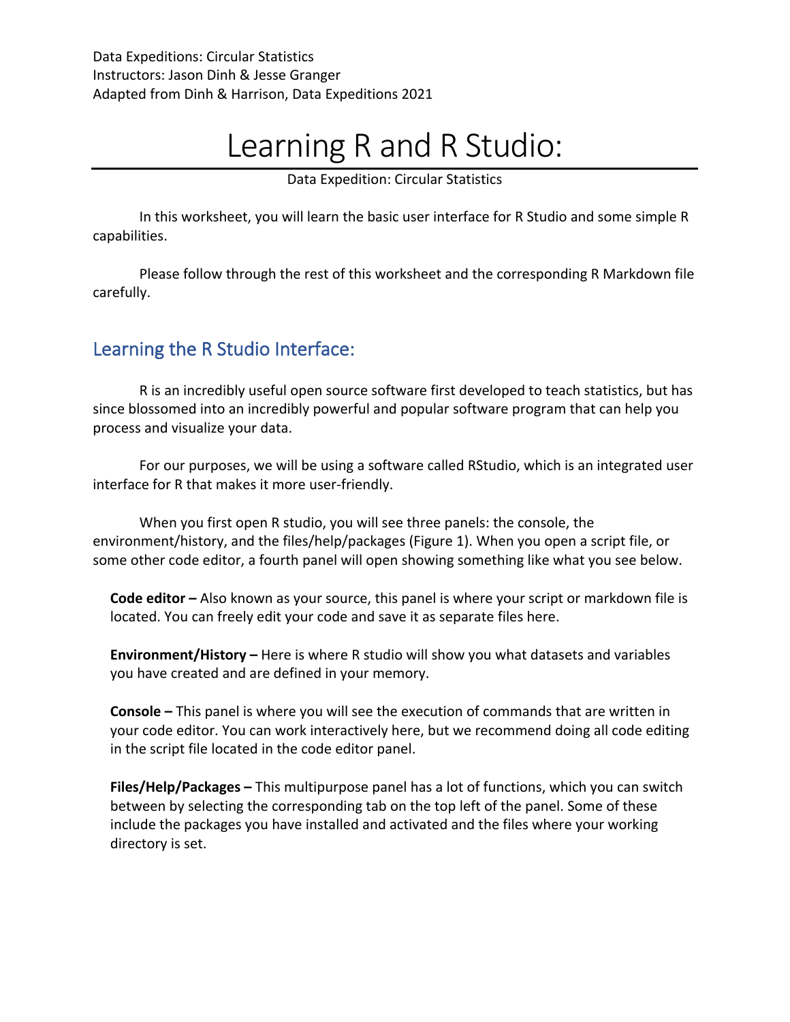# Learning R and R Studio:

Data Expedition: Circular Statistics

In this worksheet, you will learn the basic user interface for R Studio and some simple R capabilities.

Please follow through the rest of this worksheet and the corresponding R Markdown file carefully.

## Learning the R Studio Interface:

R is an incredibly useful open source software first developed to teach statistics, but has since blossomed into an incredibly powerful and popular software program that can help you process and visualize your data.

For our purposes, we will be using a software called RStudio, which is an integrated user interface for R that makes it more user-friendly.

When you first open R studio, you will see three panels: the console, the environment/history, and the files/help/packages (Figure 1). When you open a script file, or some other code editor, a fourth panel will open showing something like what you see below.

**Code editor –** Also known as your source, this panel is where your script or markdown file is located. You can freely edit your code and save it as separate files here.

**Environment/History –** Here is where R studio will show you what datasets and variables you have created and are defined in your memory.

**Console –** This panel is where you will see the execution of commands that are written in your code editor. You can work interactively here, but we recommend doing all code editing in the script file located in the code editor panel.

**Files/Help/Packages –** This multipurpose panel has a lot of functions, which you can switch between by selecting the corresponding tab on the top left of the panel. Some of these include the packages you have installed and activated and the files where your working directory is set.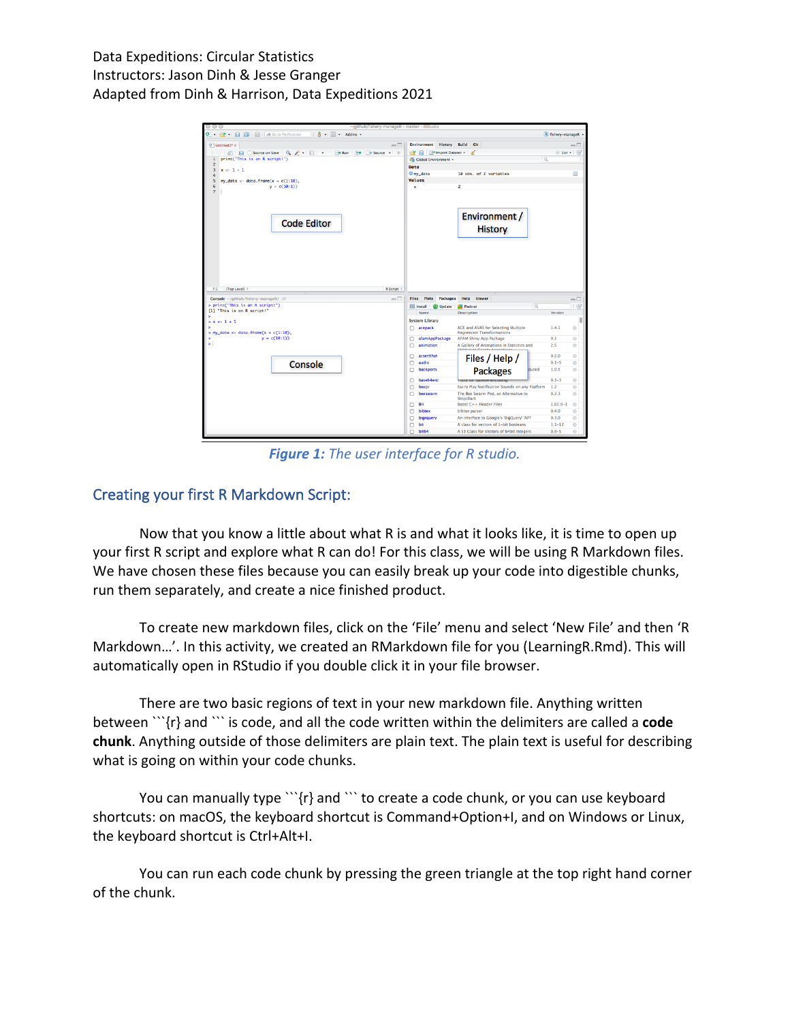Data Expeditions: Circular Statistics Instructors: Jason Dinh & Jesse Granger Adapted from Dinh & Harrison, Data Expeditions 2021

|                                                                                                                                       | ~/github/fishery-manageR - master - RStudio                               |                                                                                   |                          |                          |
|---------------------------------------------------------------------------------------------------------------------------------------|---------------------------------------------------------------------------|-----------------------------------------------------------------------------------|--------------------------|--------------------------|
| 吉 · 图 · Addins ·                                                                                                                      |                                                                           |                                                                                   | A fishery-manageR        |                          |
| <sup>9</sup> Untitled1* x<br>$\Box$                                                                                                   | <b>Environment History Build Git</b>                                      |                                                                                   |                          | $\Box$                   |
| Source on Save   9 2 -          <br>$\rightarrow$ Run $\rightarrow$ + Source +<br>组目                                                  | <b>EX EX Import Dataset - S</b>                                           |                                                                                   | $\equiv$ List - $\qquad$ |                          |
| print('This is an R script!')<br>$\mathbf{1}$                                                                                         | <b>Clobal Environment +</b>                                               |                                                                                   | Q                        |                          |
| $\overline{c}$                                                                                                                        | Data                                                                      |                                                                                   |                          |                          |
| $\overline{3}$<br>$x \leftarrow 1 + 1$<br>$\ddot{ }$                                                                                  | O my_data                                                                 | 10 obs. of 2 variables                                                            |                          | m                        |
| 5<br>my_data <- data.frame( $x = c(1:10)$ ).                                                                                          | <b>Values</b>                                                             |                                                                                   |                          |                          |
| $y = c(10:1)$<br>6                                                                                                                    | $\mathbf{x}$                                                              | $\overline{2}$                                                                    |                          |                          |
| $\overline{z}$<br><b>Code Editor</b>                                                                                                  |                                                                           | Environment /<br><b>History</b>                                                   |                          |                          |
|                                                                                                                                       |                                                                           |                                                                                   |                          |                          |
| R Script #<br>(Top Level) :<br>7:1<br><b>Console</b> ~/github/fishery-manageR/ $\oslash$<br>$\Box$<br>> print('This is an R script!') | Plots<br>Packages<br><b>Files</b><br>OL Install<br><b><i>Q</i></b> Update | Help<br>Viewer<br>$\alpha$<br><b>Packrat</b>                                      |                          | $\Box$<br>$\circledcirc$ |
| [1] "This is an R script!"                                                                                                            | Name                                                                      | Description                                                                       | Version                  |                          |
| $> x \leftarrow 1 + 1$                                                                                                                | <b>System Library</b>                                                     |                                                                                   |                          |                          |
|                                                                                                                                       | acepack<br>n                                                              | ACE and AVAS for Selecting Multiple                                               | 1.4.1                    | O                        |
| > my_data <- data.frame(x = $c(1:10)$ ,<br>$y = c(10:1)$                                                                              | afamAppPackage<br>n                                                       | <b>Regression Transformations</b><br>AFAM Shiny App Package                       | 0.1                      | O                        |
|                                                                                                                                       | o<br>animation                                                            | A Gallery of Animations in Statistics and                                         | 2.5                      | Ō                        |
|                                                                                                                                       |                                                                           |                                                                                   |                          |                          |
|                                                                                                                                       | assertthat<br>c                                                           | Files / Help /                                                                    | 0.2.0                    | Ō                        |
| Console                                                                                                                               | audio<br>n                                                                |                                                                                   | $0.1 - 5$                | Ō                        |
|                                                                                                                                       | backports<br>n                                                            | <b>Packages</b><br>duced                                                          | 1.0.5                    | Ō                        |
|                                                                                                                                       | base64enc<br>n                                                            | <b>LOOD TOL DREAD AUCOR</b>                                                       | $0.1 - 3$                | Ō                        |
|                                                                                                                                       | beepr<br>o                                                                | Easily Play Notification Sounds on any Platform                                   | 1.2                      | Ō                        |
|                                                                                                                                       | beeswarm<br>n                                                             | The Bee Swarm Plot, an Alternative to<br>Stripchart                               | 0.2.3                    | Ø                        |
|                                                                                                                                       | <b>BH</b><br>п                                                            | Boost C++ Header Files                                                            | $1.62.0 - 1$             | $\circ$                  |
|                                                                                                                                       | bibtex<br>o                                                               | bibtex parser                                                                     | 0.4.0                    | Ō                        |
|                                                                                                                                       | bigrauery<br>n                                                            | An Interface to Google's 'BigQuery' 'API'                                         | 0.3.0                    | Ō                        |
|                                                                                                                                       | bit<br>o<br>bit64                                                         | A class for vectors of 1-bit booleans<br>A S3 Class for Vectors of 64bit Integers | $1.1 - 12$<br>$0.9 - 5$  | $\circ$<br>ø             |

*Figure 1: The user interface for R studio.*

### Creating your first R Markdown Script:

Now that you know a little about what R is and what it looks like, it is time to open up your first R script and explore what R can do! For this class, we will be using R Markdown files. We have chosen these files because you can easily break up your code into digestible chunks, run them separately, and create a nice finished product.

To create new markdown files, click on the 'File' menu and select 'New File' and then 'R Markdown…'. In this activity, we created an RMarkdown file for you (LearningR.Rmd). This will automatically open in RStudio if you double click it in your file browser.

There are two basic regions of text in your new markdown file. Anything written between ```{r} and ``` is code, and all the code written within the delimiters are called a **code chunk**. Anything outside of those delimiters are plain text. The plain text is useful for describing what is going on within your code chunks.

You can manually type ```{r} and ``` to create a code chunk, or you can use keyboard shortcuts: on macOS, the keyboard shortcut is Command+Option+I, and on Windows or Linux, the keyboard shortcut is Ctrl+Alt+I.

You can run each code chunk by pressing the green triangle at the top right hand corner of the chunk.